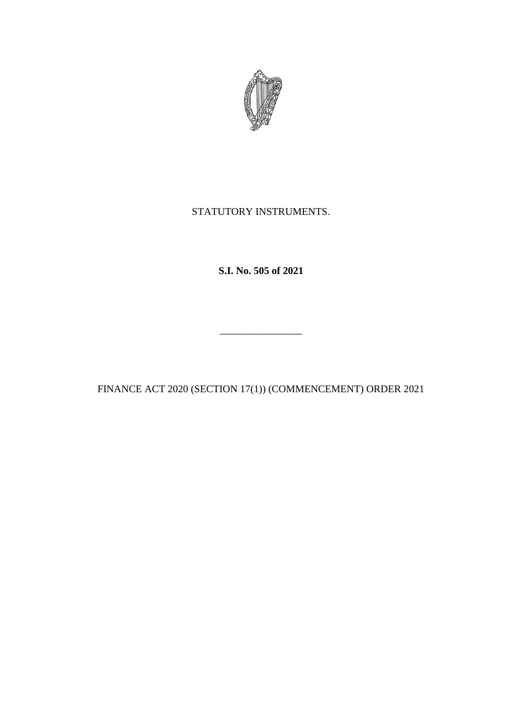

## STATUTORY INSTRUMENTS.

**S.I. No. 505 of 2021**

FINANCE ACT 2020 (SECTION 17(1)) (COMMENCEMENT) ORDER 2021

\_\_\_\_\_\_\_\_\_\_\_\_\_\_\_\_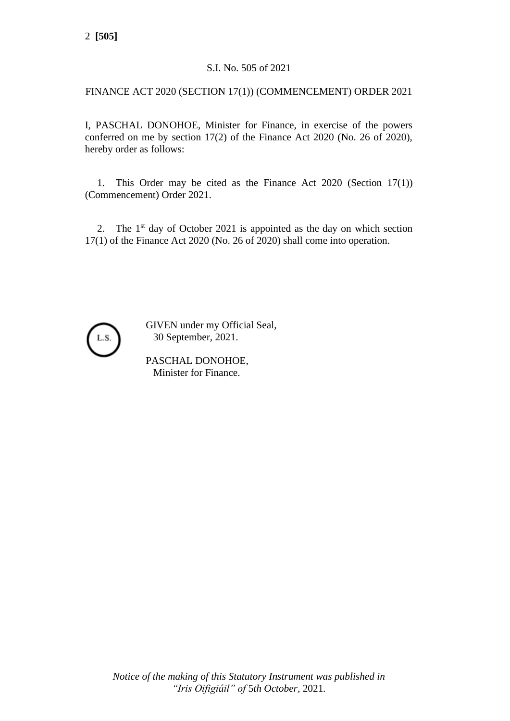## S.I. No. 505 of 2021

## FINANCE ACT 2020 (SECTION 17(1)) (COMMENCEMENT) ORDER 2021

I, PASCHAL DONOHOE, Minister for Finance, in exercise of the powers conferred on me by section 17(2) of the Finance Act 2020 (No. 26 of 2020), hereby order as follows:

1. This Order may be cited as the Finance Act 2020 (Section 17(1)) (Commencement) Order 2021.

2. The  $1<sup>st</sup>$  day of October 2021 is appointed as the day on which section 17(1) of the Finance Act 2020 (No. 26 of 2020) shall come into operation.



GIVEN under my Official Seal, 30 September, 2021.

PASCHAL DONOHOE, Minister for Finance.